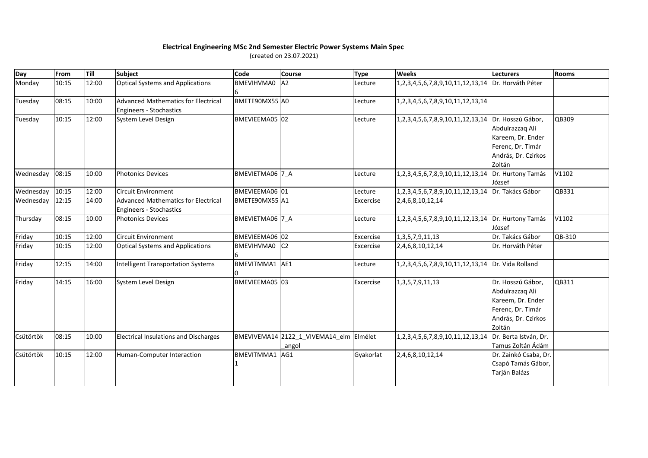## **Electrical Engineering MSc 2nd Semester Electric Power Systems Main Spec**

(created on 23.07.2021)

| Day       | From  | Till  | Subject                                      | Code            | <b>Course</b>                           | <b>Type</b> | <b>Weeks</b>                                       | <b>Lecturers</b>      | <b>Rooms</b> |
|-----------|-------|-------|----------------------------------------------|-----------------|-----------------------------------------|-------------|----------------------------------------------------|-----------------------|--------------|
| Monday    | 10:15 | 12:00 | <b>Optical Systems and Applications</b>      | BMEVIHVMA0      | A2                                      | Lecture     | 1,2,3,4,5,6,7,8,9,10,11,12,13,14                   | Dr. Horváth Péter     |              |
| Tuesday   | 08:15 | 10:00 | <b>Advanced Mathematics for Electrical</b>   | BMETE90MX55 A0  |                                         | Lecture     | 1,2,3,4,5,6,7,8,9,10,11,12,13,14                   |                       |              |
|           |       |       | Engineers - Stochastics                      |                 |                                         |             |                                                    |                       |              |
| Tuesday   | 10:15 | 12:00 | System Level Design                          | BMEVIEEMA05 02  |                                         | Lecture     | 1,2,3,4,5,6,7,8,9,10,11,12,13,14 Dr. Hosszú Gábor, |                       | QB309        |
|           |       |       |                                              |                 |                                         |             |                                                    | Abdulrazzaq Ali       |              |
|           |       |       |                                              |                 |                                         |             |                                                    | Kareem, Dr. Ender     |              |
|           |       |       |                                              |                 |                                         |             |                                                    | Ferenc, Dr. Timár     |              |
|           |       |       |                                              |                 |                                         |             |                                                    | András, Dr. Czirkos   |              |
|           |       |       |                                              |                 |                                         |             |                                                    | Zoltán                |              |
| Wednesday | 08:15 | 10:00 | <b>Photonics Devices</b>                     | BMEVIETMA06 7 A |                                         | Lecture     | 1,2,3,4,5,6,7,8,9,10,11,12,13,14 Dr. Hurtony Tamás |                       | V1102        |
|           |       |       |                                              |                 |                                         |             |                                                    | József                |              |
| Wednesday | 10:15 | 12:00 | <b>Circuit Environment</b>                   | BMEVIEEMA06 01  |                                         | Lecture     | 1, 2, 3, 4, 5, 6, 7, 8, 9, 10, 11, 12, 13, 14      | Dr. Takács Gábor      | QB331        |
| Wednesday | 12:15 | 14:00 | <b>Advanced Mathematics for Electrical</b>   | BMETE90MX55 A1  |                                         | Excercise   | 2,4,6,8,10,12,14                                   |                       |              |
|           |       |       | Engineers - Stochastics                      |                 |                                         |             |                                                    |                       |              |
| Thursday  | 08:15 | 10:00 | <b>Photonics Devices</b>                     | BMEVIETMA06 7 A |                                         | Lecture     | 1,2,3,4,5,6,7,8,9,10,11,12,13,14 Dr. Hurtony Tamás |                       | V1102        |
|           |       |       |                                              |                 |                                         |             |                                                    | József                |              |
| Friday    | 10:15 | 12:00 | <b>Circuit Environment</b>                   | BMEVIEEMA06 02  |                                         | Excercise   | 1, 3, 5, 7, 9, 11, 13                              | Dr. Takács Gábor      | QB-310       |
| Friday    | 10:15 | 12:00 | <b>Optical Systems and Applications</b>      | BMEVIHVMA0<br>6 | C <sub>2</sub>                          | Excercise   | 2,4,6,8,10,12,14                                   | Dr. Horváth Péter     |              |
| Friday    | 12:15 | 14:00 | <b>Intelligent Transportation Systems</b>    | BMEVITMMA1 AE1  |                                         | Lecture     | 1,2,3,4,5,6,7,8,9,10,11,12,13,14 Dr. Vida Rolland  |                       |              |
| Friday    | 14:15 | 16:00 | System Level Design                          | BMEVIEEMA05 03  |                                         | Excercise   | 1, 3, 5, 7, 9, 11, 13                              | Dr. Hosszú Gábor,     | QB311        |
|           |       |       |                                              |                 |                                         |             |                                                    | Abdulrazzaq Ali       |              |
|           |       |       |                                              |                 |                                         |             |                                                    | Kareem, Dr. Ender     |              |
|           |       |       |                                              |                 |                                         |             |                                                    | Ferenc, Dr. Timár     |              |
|           |       |       |                                              |                 |                                         |             |                                                    | András, Dr. Czirkos   |              |
|           |       |       |                                              |                 |                                         |             |                                                    | Zoltán                |              |
| Csütörtök | 08:15 | 10:00 | <b>Electrical Insulations and Discharges</b> |                 | BMEVIVEMA14 2122_1_VIVEMA14_elm Elmélet |             | 1,2,3,4,5,6,7,8,9,10,11,12,13,14                   | Dr. Berta István, Dr. |              |
|           |       |       |                                              |                 | _angol                                  |             |                                                    | Tamus Zoltán Ádám     |              |
| Csütörtök | 10:15 | 12:00 | Human-Computer Interaction                   | BMEVITMMA1      | AG1                                     | Gyakorlat   | 2,4,6,8,10,12,14                                   | Dr. Zainkó Csaba, Dr. |              |
|           |       |       |                                              |                 |                                         |             |                                                    | Csapó Tamás Gábor,    |              |
|           |       |       |                                              |                 |                                         |             |                                                    | Tarján Balázs         |              |
|           |       |       |                                              |                 |                                         |             |                                                    |                       |              |